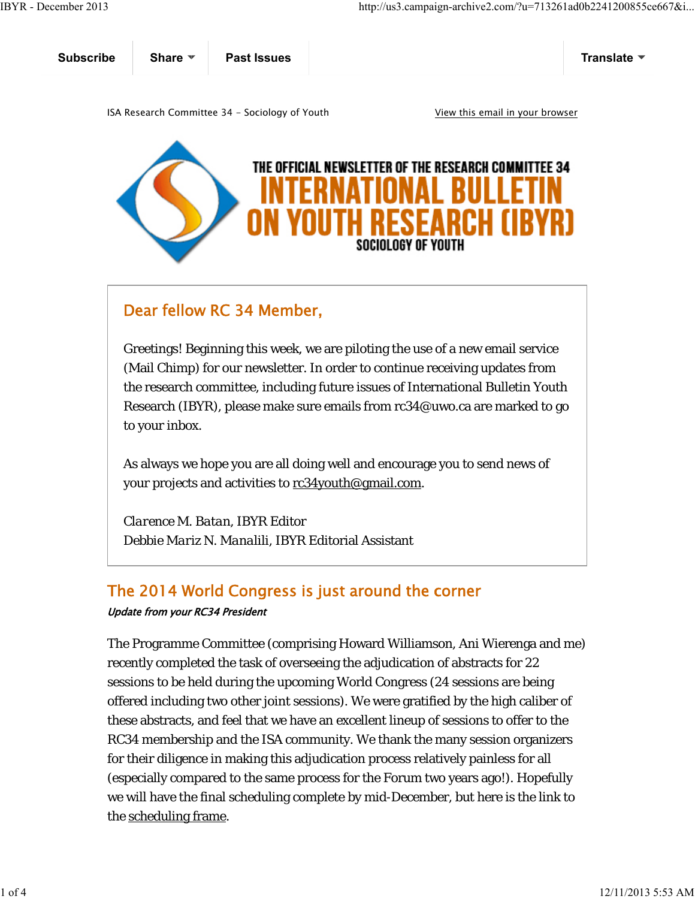| <b>Subscribe</b>                                                                  | Share $\Psi$ | <b>Past Issues</b> |  | Translate ▼ |
|-----------------------------------------------------------------------------------|--------------|--------------------|--|-------------|
| View this email in your browser<br>ISA Research Committee 34 - Sociology of Youth |              |                    |  |             |
|                                                                                   |              |                    |  |             |



## Dear fellow RC 34 Member,

Greetings! Beginning this week, we are piloting the use of a new email service (Mail Chimp) for our newsletter. In order to continue receiving updates from the research committee, including future issues of International Bulletin Youth Research (IBYR), please make sure emails from rc34@uwo.ca are marked to go to your inbox.

As always we hope you are all doing well and encourage you to send news of your projects and activities to rc34youth@gmail.com.

*Clarence M. Batan*, IBYR Editor *Debbie Mariz N. Manalili*, IBYR Editorial Assistant

## The 2014 World Congress is just around the corner

## Update from your RC34 President

The Programme Committee (comprising Howard Williamson, Ani Wierenga and me) recently completed the task of overseeing the adjudication of abstracts for 22 sessions to be held during the upcoming World Congress (24 sessions are being offered including two other joint sessions). We were gratified by the high caliber of these abstracts, and feel that we have an excellent lineup of sessions to offer to the RC34 membership and the ISA community. We thank the many session organizers for their diligence in making this adjudication process relatively painless for all (especially compared to the same process for the Forum two years ago!). Hopefully we will have the final scheduling complete by mid-December, but here is the link to the scheduling frame.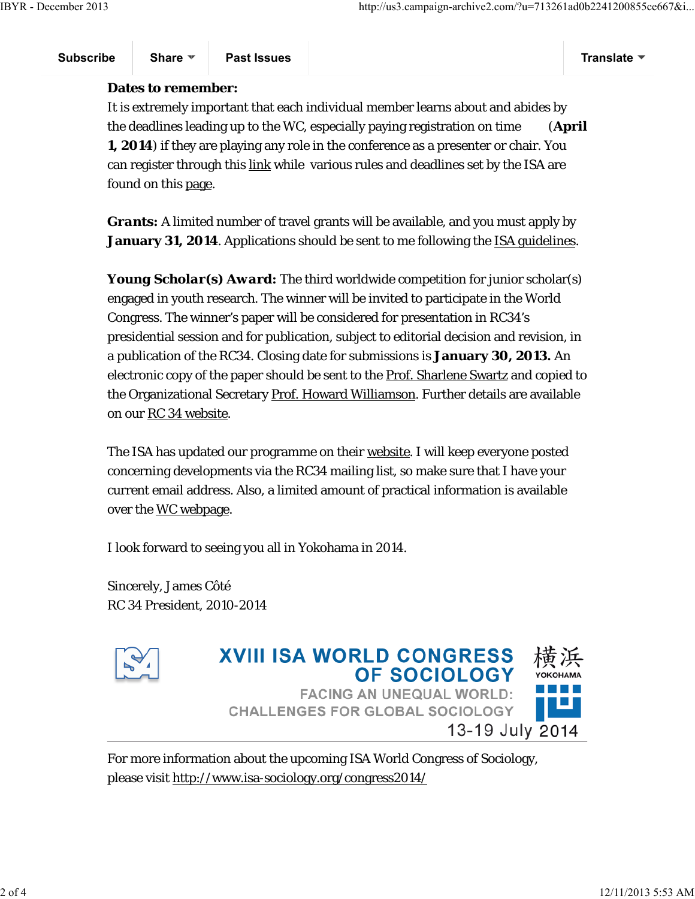**Subscribe Share Past Issues Translate**

## **Dates to remember:**

It is extremely important that each individual member learns about and abides by the deadlines leading up to the WC, especially paying registration on time (**April 1, 2014**) if they are playing any role in the conference as a presenter or chair. You can register through this link while various rules and deadlines set by the ISA are found on this page.

*Grants:* A limited number of travel grants will be available, and you must apply by **January 31, 2014**. Applications should be sent to me following the ISA guidelines.

*Young Scholar(s) Award:* The third worldwide competition for junior scholar(s) engaged in youth research. The winner will be invited to participate in the World Congress. The winner's paper will be considered for presentation in RC34's presidential session and for publication, subject to editorial decision and revision, in a publication of the RC34. Closing date for submissions is **January 30, 2013.** An electronic copy of the paper should be sent to the Prof. Sharlene Swartz and copied to the Organizational Secretary Prof. Howard Williamson. Further details are available on our RC 34 website.

The ISA has updated our programme on their website. I will keep everyone posted concerning developments via the RC34 mailing list, so make sure that I have your current email address. Also, a limited amount of practical information is available over the <u>WC webpage</u>.

I look forward to seeing you all in Yokohama in 2014.

Sincerely, James Côté *RC 34 President, 2010-2014*





For more information about the upcoming ISA World Congress of Sociology, please visit http://www.isa-sociology.org/congress2014/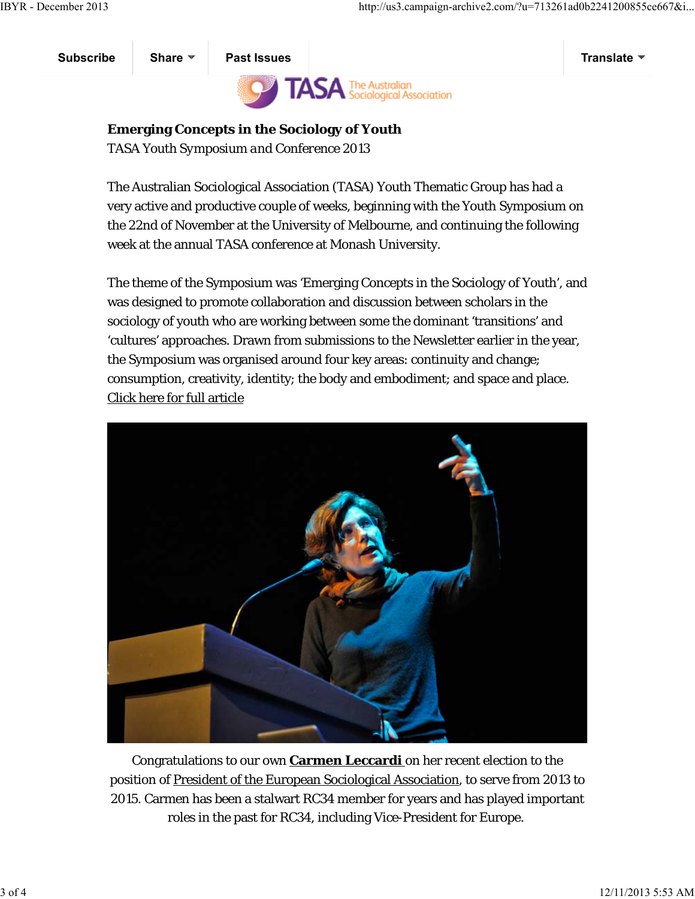

**Emerging Concepts in the Sociology of Youth** *TASA Youth Symposium and Conference 2013*

The Australian Sociological Association (TASA) Youth Thematic Group has had a very active and productive couple of weeks, beginning with the Youth Symposium on the 22nd of November at the University of Melbourne, and continuing the following week at the annual TASA conference at Monash University.

The theme of the Symposium was 'Emerging Concepts in the Sociology of Youth', and was designed to promote collaboration and discussion between scholars in the sociology of youth who are working between some the dominant 'transitions' and 'cultures' approaches. Drawn from submissions to the Newsletter earlier in the year, the Symposium was organised around four key areas: continuity and change; consumption, creativity, identity; the body and embodiment; and space and place. Click here for full article



Congratulations to our own **Carmen Leccardi** on her recent election to the position of President of the European Sociological Association, to serve from 2013 to 2015. Carmen has been a stalwart RC34 member for years and has played important roles in the past for RC34, including Vice-President for Europe.